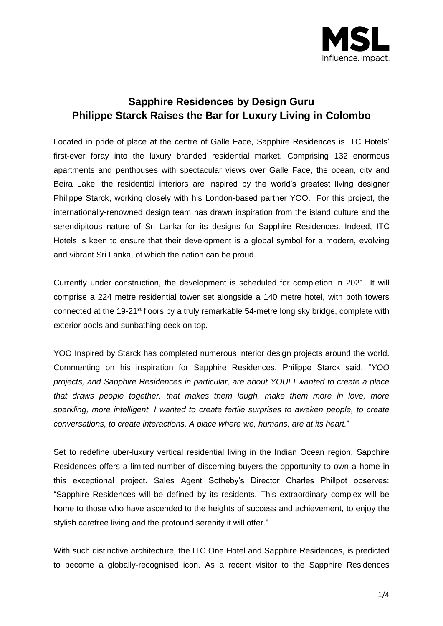

# **Sapphire Residences by Design Guru Philippe Starck Raises the Bar for Luxury Living in Colombo**

Located in pride of place at the centre of Galle Face, Sapphire Residences is ITC Hotels' first-ever foray into the luxury branded residential market. Comprising 132 enormous apartments and penthouses with spectacular views over Galle Face, the ocean, city and Beira Lake, the residential interiors are inspired by the world's greatest living designer Philippe Starck, working closely with his London-based partner YOO. For this project, the internationally-renowned design team has drawn inspiration from the island culture and the serendipitous nature of Sri Lanka for its designs for Sapphire Residences. Indeed, ITC Hotels is keen to ensure that their development is a global symbol for a modern, evolving and vibrant Sri Lanka, of which the nation can be proud.

Currently under construction, the development is scheduled for completion in 2021. It will comprise a 224 metre residential tower set alongside a 140 metre hotel, with both towers connected at the 19-21<sup>st</sup> floors by a truly remarkable 54-metre long sky bridge, complete with exterior pools and sunbathing deck on top.

YOO Inspired by Starck has completed numerous interior design projects around the world. Commenting on his inspiration for Sapphire Residences, Philippe Starck said, "*YOO projects, and Sapphire Residences in particular, are about YOU! I wanted to create a place that draws people together, that makes them laugh, make them more in love, more sparkling, more intelligent. I wanted to create fertile surprises to awaken people, to create conversations, to create interactions. A place where we, humans, are at its heart.*"

Set to redefine uber-luxury vertical residential living in the Indian Ocean region, Sapphire Residences offers a limited number of discerning buyers the opportunity to own a home in this exceptional project. Sales Agent Sotheby's Director Charles Phillpot observes: "Sapphire Residences will be defined by its residents. This extraordinary complex will be home to those who have ascended to the heights of success and achievement, to enjoy the stylish carefree living and the profound serenity it will offer."

With such distinctive architecture, the ITC One Hotel and Sapphire Residences, is predicted to become a globally-recognised icon. As a recent visitor to the Sapphire Residences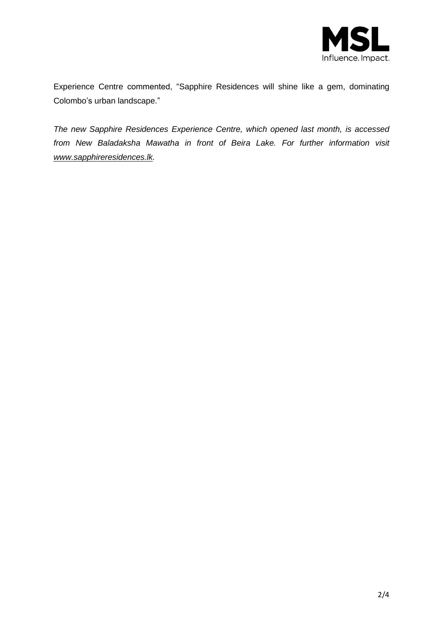

Experience Centre commented, "Sapphire Residences will shine like a gem, dominating Colombo's urban landscape."

*The new Sapphire Residences Experience Centre, which opened last month, is accessed from New Baladaksha Mawatha in front of Beira Lake. For further information visit [www.sapphireresidences.lk.](http://www.sapphireresidences.lk/)*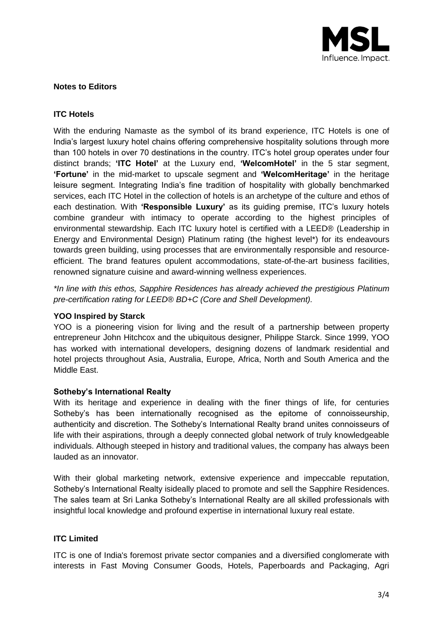

## **Notes to Editors**

## **ITC Hotels**

With the enduring Namaste as the symbol of its brand experience, ITC Hotels is one of India's largest luxury hotel chains offering comprehensive hospitality solutions through more than 100 hotels in over 70 destinations in the country. ITC's hotel group operates under four distinct brands; **'ITC Hotel'** at the Luxury end, **'WelcomHotel'** in the 5 star segment, **'Fortune'** in the mid-market to upscale segment and **'WelcomHeritage'** in the heritage leisure segment. Integrating India's fine tradition of hospitality with globally benchmarked services, each ITC Hotel in the collection of hotels is an archetype of the culture and ethos of each destination. With **'Responsible Luxury'** as its guiding premise, ITC's luxury hotels combine grandeur with intimacy to operate according to the highest principles of environmental stewardship. Each ITC luxury hotel is certified with a LEED® (Leadership in Energy and Environmental Design) Platinum rating (the highest level\*) for its endeavours towards green building, using processes that are environmentally responsible and resourceefficient. The brand features opulent accommodations, state-of-the-art business facilities, renowned signature cuisine and award-winning wellness experiences.

*\*In line with this ethos, Sapphire Residences has already achieved the prestigious Platinum pre-certification rating for LEED® BD+C (Core and Shell Development).*

#### **YOO Inspired by Starck**

YOO is a pioneering vision for living and the result of a partnership between property entrepreneur John Hitchcox and the ubiquitous designer, Philippe Starck. Since 1999, YOO has worked with international developers, designing dozens of landmark residential and hotel projects throughout Asia, Australia, Europe, Africa, North and South America and the Middle East.

#### **Sotheby's International Realty**

With its heritage and experience in dealing with the finer things of life, for centuries Sotheby's has been internationally recognised as the epitome of connoisseurship, authenticity and discretion. The Sotheby's International Realty brand unites connoisseurs of life with their aspirations, through a deeply connected global network of truly knowledgeable individuals. Although steeped in history and traditional values, the company has always been lauded as an innovator.

With their global marketing network, extensive experience and impeccable reputation, Sotheby's International Realty isideally placed to promote and sell the Sapphire Residences. The sales team at Sri Lanka Sotheby's International Realty are all skilled professionals with insightful local knowledge and profound expertise in international luxury real estate.

## **ITC Limited**

ITC is one of India's foremost private sector companies and a diversified conglomerate with interests in Fast Moving Consumer Goods, Hotels, Paperboards and Packaging, Agri